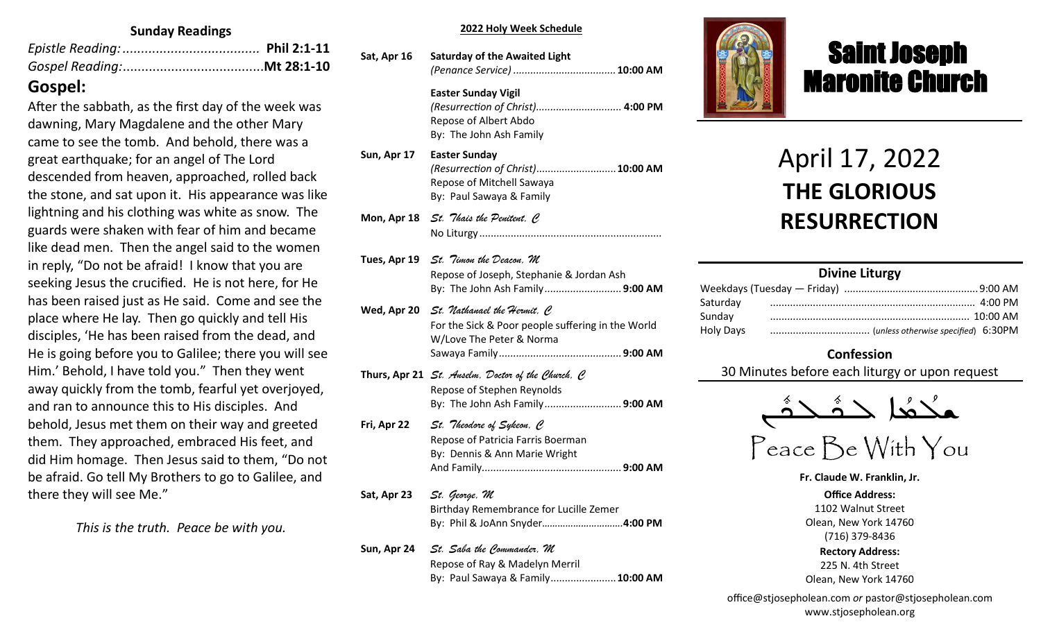#### **Sunday Readings**

# **Gospel:**

After the sabbath, as the first day of the week was dawning, Mary Magdalene and the other Mary came to see the tomb. And behold, there was a great earthquake; for an angel of The Lord descended from heaven, approached, rolled back the stone, and sat upon it. His appearance was like lightning and his clothing was white as snow. The guards were shaken with fear of him and became like dead men. Then the angel said to the women in reply, "Do not be afraid! I know that you are seeking Jesus the crucified. He is not here, for He has been raised just as He said. Come and see the place where He lay. Then go quickly and tell His disciples, 'He has been raised from the dead, and He is going before you to Galilee; there you will see Him.' Behold, I have told you." Then they went away quickly from the tomb, fearful yet overjoyed, and ran to announce this to His disciples. And behold, Jesus met them on their way and greeted them. They approached, embraced His feet, and did Him homage. Then Jesus said to them, "Do not be afraid. Go tell My Brothers to go to Galilee, and there they will see Me."

*This is the truth. Peace be with you.*

#### **Liturgy Intentions 2022 Holy Week Schedule**

| Sat, Apr 16 | <b>Saturday of the Awaited Light</b>                                                                               |
|-------------|--------------------------------------------------------------------------------------------------------------------|
|             | <b>Easter Sunday Vigil</b><br>(Resurrection of Christ) 4:00 PM<br>Repose of Albert Abdo<br>By: The John Ash Family |
| Sun, Apr 17 | Easter Sunday<br>(Resurrection of Christ) 10:00 AM<br>Repose of Mitchell Sawaya<br>By: Paul Sawaya & Family        |
|             | <b>Mon, Apr 18</b> St. Thais the Penitent, C                                                                       |

Repose of Joseph, Stephanie & Jordan Ash **Reading: Heb 2:5-12; Jn 11:47-54** By: The John Ash Family*............................*..**9:00 AM Tues, Apr 19** *St. Timon the Deacon, M* **Wed, Apr 20** *St. Nathanael the Hermit, C*

No Liturgy

- **Thur, Apr 14** *Thursday of the Mysteries St. Hermenegild the King, M* For the Sick & Poor people suffering in the World **Reading: 1 Cor 11:23-32; Jn 13:1-20** W/Love The Peter & Norma **The Intention of International Section** Of Catholic Extension ................................**9:00 AM** Sawaya Family*...........................................***9:00 AM**
- **Friday of Prince St. Southern Politically of Crucific Pope St. Solid Prince St. Society Repose of Stephen Reynolds Reading: Heb 12:12-21; Jn 19:31-37** The Intentions & Donors By: The John Ash Family*...........................***9:00 AM Thurs, Apr 21** *St. Anselm, Doctor of the Church, C*
- Fri, Apr 22 *St. "Theodore of Sykeon, C* **Sat, Apr 16** *Great Saturday of the Light St. Bernadette Soubirous,C* Repose of Patricia Farris Boerman **Reading: Rom 5:1-11; Mt 27:62-66** By: Dennis & Ann Marie Wright Repose of Albert Abdo .............................. **4:00 PM** And Family*.................................................***9:00 AM**
- **Sat, Apr 23** *St. George, M* **Reading: 1 Cor 15:12-26; Mk 16:1-8** Birthday Remembrance for Lucille Zemer Mitchell Sawaya ......................................**10:00 AM** By: Phil & JoAnn Snyder*………………………….***4:00 PM Sat, Apr 23** *St. George, M*
- By: Paul Sawaya & Family **Sun, Apr 24** *St. Saba the Commander, M* Repose of Ray & Madelyn Merril By: Paul Sawaya & Family.......................**10:00 AM**



# Saint Joseph Maronite Church

# April 17, 2022 **THE GLORIOUS RESURRECTION**

ī

#### **Divine Liturgy** Weekdays (Tuesday — Friday) ...............................................9:00 AM Saturday ........................................................................ 4:00 PM Sunday ...................................................................... 10:00 AM Holy Days ................................... (*unless otherwise specified*) 6:30PM

### **Confession**

30 Minutes before each liturgy or upon request



**Fr. Claude W. Franklin, Jr.**

**Office Address:** 1102 Walnut Street Olean, New York 14760 (716) 379-8436 **Rectory Address:** 225 N. 4th Street Olean, New York 14760

office@stjosepholean.com *or* pastor@stjosepholean.com www.stjosepholean.org